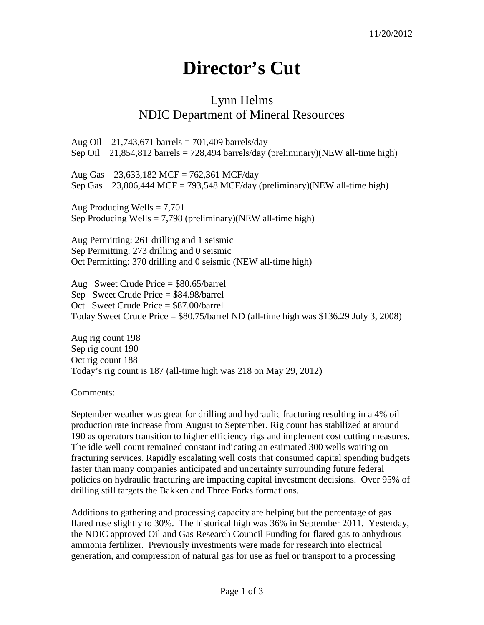## **Director's Cut**

## Lynn Helms NDIC Department of Mineral Resources

Aug Oil 21,743,671 barrels =  $701,409$  barrels/day Sep Oil 21,854,812 barrels = 728,494 barrels/day (preliminary)(NEW all-time high) Aug Gas 23,633,182 MCF = 762,361 MCF/day Sep Gas  $23,806,444$  MCF = 793,548 MCF/day (preliminary)(NEW all-time high) Aug Producing Wells  $= 7,701$ Sep Producing Wells  $= 7,798$  (preliminary)(NEW all-time high) Aug Permitting: 261 drilling and 1 seismic Sep Permitting: 273 drilling and 0 seismic Oct Permitting: 370 drilling and 0 seismic (NEW all-time high) Aug Sweet Crude Price = \$80.65/barrel Sep Sweet Crude Price = \$84.98/barrel Oct Sweet Crude Price = \$87.00/barrel Today Sweet Crude Price = \$80.75/barrel ND (all-time high was \$136.29 July 3, 2008)

Aug rig count 198 Sep rig count 190 Oct rig count 188 Today's rig count is 187 (all-time high was 218 on May 29, 2012)

Comments:

September weather was great for drilling and hydraulic fracturing resulting in a 4% oil production rate increase from August to September. Rig count has stabilized at around 190 as operators transition to higher efficiency rigs and implement cost cutting measures. The idle well count remained constant indicating an estimated 300 wells waiting on fracturing services. Rapidly escalating well costs that consumed capital spending budgets faster than many companies anticipated and uncertainty surrounding future federal policies on hydraulic fracturing are impacting capital investment decisions. Over 95% of drilling still targets the Bakken and Three Forks formations.

Additions to gathering and processing capacity are helping but the percentage of gas flared rose slightly to 30%. The historical high was 36% in September 2011. Yesterday, the NDIC approved Oil and Gas Research Council Funding for flared gas to anhydrous ammonia fertilizer. Previously investments were made for research into electrical generation, and compression of natural gas for use as fuel or transport to a processing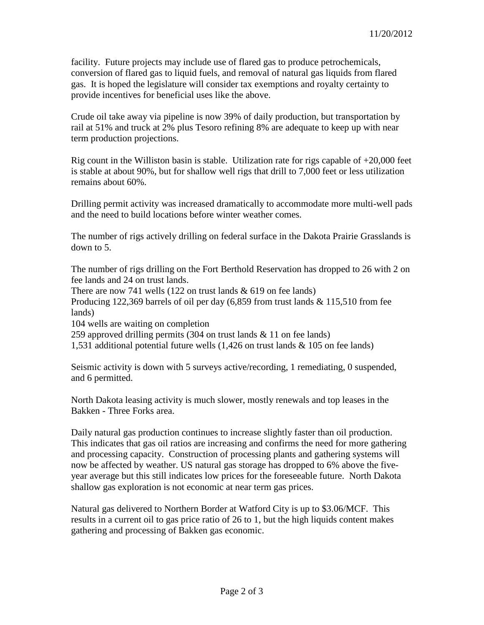facility. Future projects may include use of flared gas to produce petrochemicals, conversion of flared gas to liquid fuels, and removal of natural gas liquids from flared gas. It is hoped the legislature will consider tax exemptions and royalty certainty to provide incentives for beneficial uses like the above.

Crude oil take away via pipeline is now 39% of daily production, but transportation by rail at 51% and truck at 2% plus Tesoro refining 8% are adequate to keep up with near term production projections.

Rig count in the Williston basin is stable. Utilization rate for rigs capable of  $+20,000$  feet is stable at about 90%, but for shallow well rigs that drill to 7,000 feet or less utilization remains about 60%.

Drilling permit activity was increased dramatically to accommodate more multi-well pads and the need to build locations before winter weather comes.

The number of rigs actively drilling on federal surface in the Dakota Prairie Grasslands is down to 5.

The number of rigs drilling on the Fort Berthold Reservation has dropped to 26 with 2 on fee lands and 24 on trust lands.

There are now 741 wells (122 on trust lands  $\&$  619 on fee lands)

Producing 122,369 barrels of oil per day (6,859 from trust lands & 115,510 from fee lands)

104 wells are waiting on completion

259 approved drilling permits (304 on trust lands & 11 on fee lands)

1,531 additional potential future wells (1,426 on trust lands & 105 on fee lands)

Seismic activity is down with 5 surveys active/recording, 1 remediating, 0 suspended, and 6 permitted.

North Dakota leasing activity is much slower, mostly renewals and top leases in the Bakken - Three Forks area.

Daily natural gas production continues to increase slightly faster than oil production. This indicates that gas oil ratios are increasing and confirms the need for more gathering and processing capacity. Construction of processing plants and gathering systems will now be affected by weather. US natural gas storage has dropped to 6% above the fiveyear average but this still indicates low prices for the foreseeable future. North Dakota shallow gas exploration is not economic at near term gas prices.

Natural gas delivered to Northern Border at Watford City is up to \$3.06/MCF. This results in a current oil to gas price ratio of 26 to 1, but the high liquids content makes gathering and processing of Bakken gas economic.